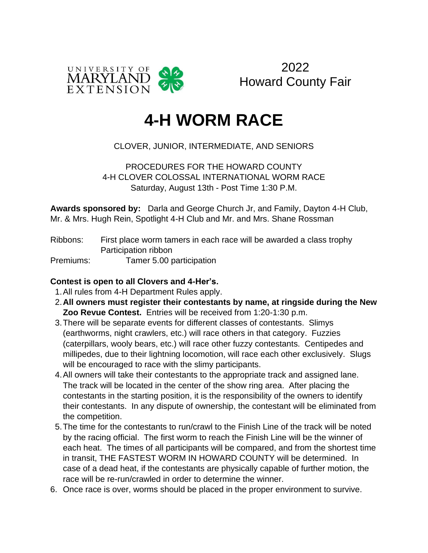

2022 Howard County Fair

# **4-H WORM RACE**

### CLOVER, JUNIOR, INTERMEDIATE, AND SENIORS

PROCEDURES FOR THE HOWARD COUNTY 4-H CLOVER COLOSSAL INTERNATIONAL WORM RACE Saturday, August 13th - Post Time 1:30 P.M.

**Awards sponsored by:** Darla and George Church Jr, and Family, Dayton 4-H Club, Mr. & Mrs. Hugh Rein, Spotlight 4-H Club and Mr. and Mrs. Shane Rossman

Ribbons: First place worm tamers in each race will be awarded a class trophy Participation ribbon

Premiums: Tamer 5.00 participation

#### **Contest is open to all Clovers and 4-Her's.**

- 1.All rules from 4-H Department Rules apply.
- 2.**All owners must register their contestants by name, at ringside during the New Zoo Revue Contest.** Entries will be received from 1:20-1:30 p.m.
- 3.There will be separate events for different classes of contestants. Slimys (earthworms, night crawlers, etc.) will race others in that category. Fuzzies (caterpillars, wooly bears, etc.) will race other fuzzy contestants. Centipedes and millipedes, due to their lightning locomotion, will race each other exclusively. Slugs will be encouraged to race with the slimy participants.
- 4.All owners will take their contestants to the appropriate track and assigned lane. The track will be located in the center of the show ring area. After placing the contestants in the starting position, it is the responsibility of the owners to identify their contestants. In any dispute of ownership, the contestant will be eliminated from the competition.
- 5.The time for the contestants to run/crawl to the Finish Line of the track will be noted by the racing official. The first worm to reach the Finish Line will be the winner of each heat. The times of all participants will be compared, and from the shortest time in transit, THE FASTEST WORM IN HOWARD COUNTY will be determined. In case of a dead heat, if the contestants are physically capable of further motion, the race will be re-run/crawled in order to determine the winner.
- 6. Once race is over, worms should be placed in the proper environment to survive.